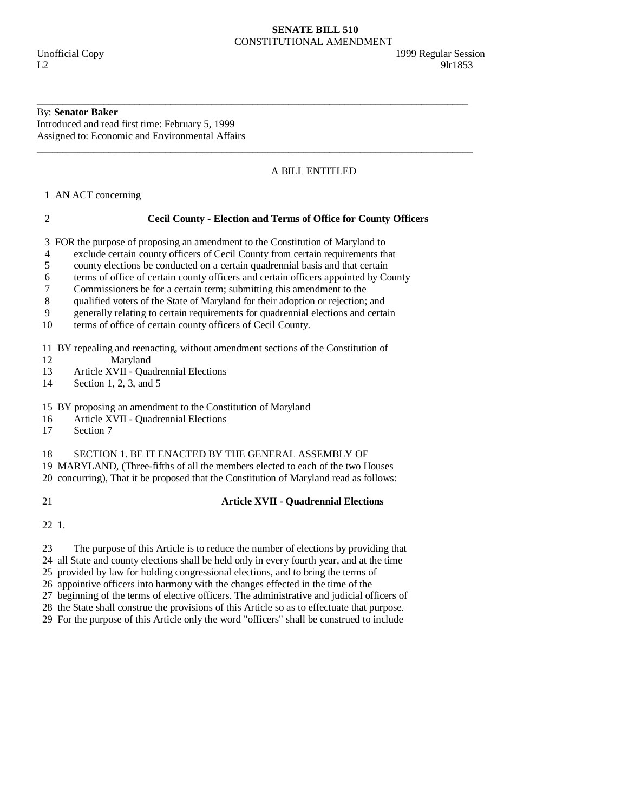### **SENATE BILL 510**  CONSTITUTIONAL AMENDMENT

# By: **Senator Baker**

Introduced and read first time: February 5, 1999 Assigned to: Economic and Environmental Affairs

# A BILL ENTITLED

1 AN ACT concerning

| ×      |
|--------|
| I      |
| ٦<br>٦ |
|        |

# 2 **Cecil County - Election and Terms of Office for County Officers**

\_\_\_\_\_\_\_\_\_\_\_\_\_\_\_\_\_\_\_\_\_\_\_\_\_\_\_\_\_\_\_\_\_\_\_\_\_\_\_\_\_\_\_\_\_\_\_\_\_\_\_\_\_\_\_\_\_\_\_\_\_\_\_\_\_\_\_\_\_\_\_\_\_\_\_\_\_\_\_\_\_\_\_\_

\_\_\_\_\_\_\_\_\_\_\_\_\_\_\_\_\_\_\_\_\_\_\_\_\_\_\_\_\_\_\_\_\_\_\_\_\_\_\_\_\_\_\_\_\_\_\_\_\_\_\_\_\_\_\_\_\_\_\_\_\_\_\_\_\_\_\_\_\_\_\_\_\_\_\_\_\_\_\_\_\_\_\_\_\_

3 FOR the purpose of proposing an amendment to the Constitution of Maryland to

- 4 exclude certain county officers of Cecil County from certain requirements that
- 5 county elections be conducted on a certain quadrennial basis and that certain
- 6 terms of office of certain county officers and certain officers appointed by County
- 7 Commissioners be for a certain term; submitting this amendment to the
- 8 qualified voters of the State of Maryland for their adoption or rejection; and
- 9 generally relating to certain requirements for quadrennial elections and certain
- 10 terms of office of certain county officers of Cecil County.

11 BY repealing and reenacting, without amendment sections of the Constitution of

- 12 Maryland
- 13 Article XVII Quadrennial Elections<br>14 Section 1, 2, 3, and 5
- Section 1, 2, 3, and  $5$

## 15 BY proposing an amendment to the Constitution of Maryland

- 16 Article XVII Quadrennial Elections
- 17 Section 7

#### 18 SECTION 1. BE IT ENACTED BY THE GENERAL ASSEMBLY OF

19 MARYLAND, (Three-fifths of all the members elected to each of the two Houses

20 concurring), That it be proposed that the Constitution of Maryland read as follows:

#### 21 **Article XVII - Quadrennial Elections**

22 1.

23 The purpose of this Article is to reduce the number of elections by providing that

- 24 all State and county elections shall be held only in every fourth year, and at the time
- 25 provided by law for holding congressional elections, and to bring the terms of
- 26 appointive officers into harmony with the changes effected in the time of the

27 beginning of the terms of elective officers. The administrative and judicial officers of

 28 the State shall construe the provisions of this Article so as to effectuate that purpose. 29 For the purpose of this Article only the word "officers" shall be construed to include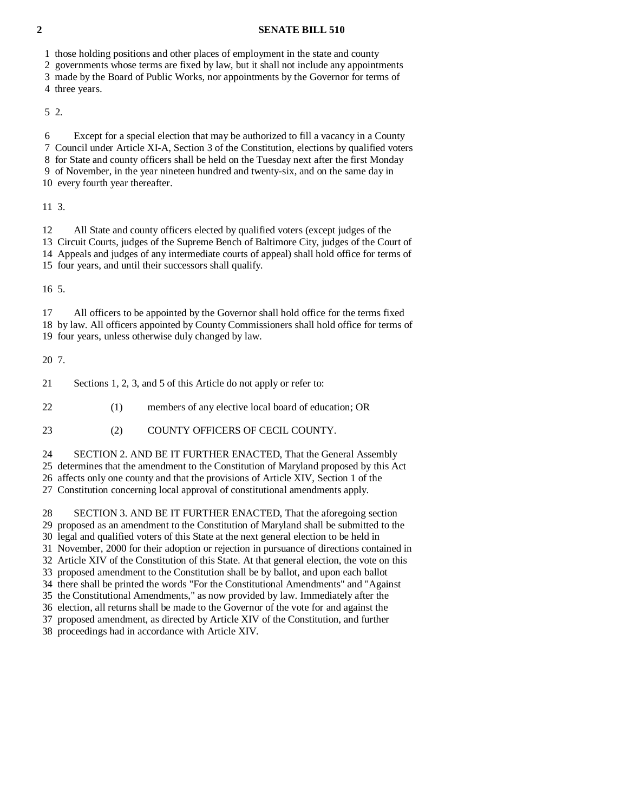#### **2 SENATE BILL 510**

1 those holding positions and other places of employment in the state and county

2 governments whose terms are fixed by law, but it shall not include any appointments

3 made by the Board of Public Works, nor appointments by the Governor for terms of

4 three years.

5 2.

 6 Except for a special election that may be authorized to fill a vacancy in a County 7 Council under Article XI-A, Section 3 of the Constitution, elections by qualified voters 8 for State and county officers shall be held on the Tuesday next after the first Monday 9 of November, in the year nineteen hundred and twenty-six, and on the same day in 10 every fourth year thereafter.

11 3.

 12 All State and county officers elected by qualified voters (except judges of the 13 Circuit Courts, judges of the Supreme Bench of Baltimore City, judges of the Court of 14 Appeals and judges of any intermediate courts of appeal) shall hold office for terms of 15 four years, and until their successors shall qualify.

16 5.

 17 All officers to be appointed by the Governor shall hold office for the terms fixed 18 by law. All officers appointed by County Commissioners shall hold office for terms of 19 four years, unless otherwise duly changed by law.

20 7.

21 Sections 1, 2, 3, and 5 of this Article do not apply or refer to:

22 (1) members of any elective local board of education; OR

23 (2) COUNTY OFFICERS OF CECIL COUNTY.

24 SECTION 2. AND BE IT FURTHER ENACTED, That the General Assembly

25 determines that the amendment to the Constitution of Maryland proposed by this Act

26 affects only one county and that the provisions of Article XIV, Section 1 of the

27 Constitution concerning local approval of constitutional amendments apply.

 28 SECTION 3. AND BE IT FURTHER ENACTED, That the aforegoing section 29 proposed as an amendment to the Constitution of Maryland shall be submitted to the 30 legal and qualified voters of this State at the next general election to be held in 31 November, 2000 for their adoption or rejection in pursuance of directions contained in 32 Article XIV of the Constitution of this State. At that general election, the vote on this 33 proposed amendment to the Constitution shall be by ballot, and upon each ballot 34 there shall be printed the words "For the Constitutional Amendments" and "Against 35 the Constitutional Amendments," as now provided by law. Immediately after the 36 election, all returns shall be made to the Governor of the vote for and against the 37 proposed amendment, as directed by Article XIV of the Constitution, and further 38 proceedings had in accordance with Article XIV.